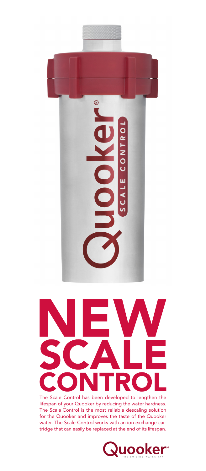



The Scale Control has been developed to lengthen the lifespan of your Quooker by reducing the water hardness. The Scale Control is the most reliable descaling solution for the Quooker and improves the taste of the Quooker water. The Scale Control works with an ion exchange cartridge that can easily be replaced at the end of its lifespan.